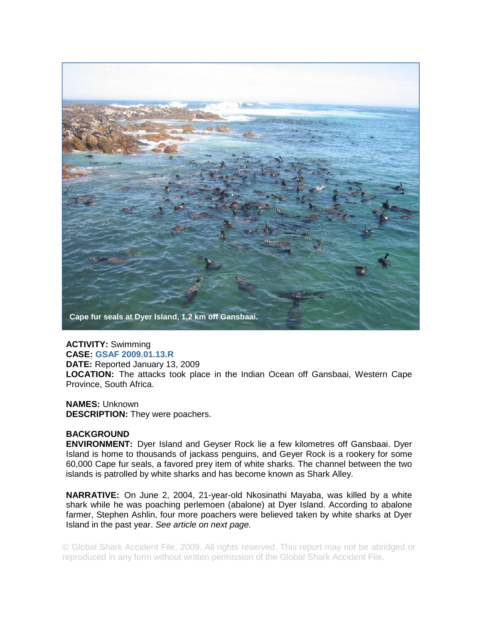

**ACTIVITY:** Swimming **CASE: GSAF 2009.01.13.R DATE:** Reported January 13, 2009 **LOCATION:** The attacks took place in the Indian Ocean off Gansbaai, Western Cape Province, South Africa.

**NAMES:** Unknown **DESCRIPTION:** They were poachers.

## **BACKGROUND**

**ENVIRONMENT:** Dyer Island and Geyser Rock lie a few kilometres off Gansbaai. Dyer Island is home to thousands of jackass penguins, and Geyer Rock is a rookery for some 60,000 Cape fur seals, a favored prey item of white sharks. The channel between the two islands is patrolled by white sharks and has become known as Shark Alley.

**NARRATIVE:** On June 2, 2004, 21-year-old Nkosinathi Mayaba, was killed by a white shark while he was poaching perlemoen (abalone) at Dyer Island. According to abalone farmer, Stephen Ashlin, four more poachers were believed taken by white sharks at Dyer Island in the past year. *See article on next page.* 

© Global Shark Accident File, 2009. All rights reserved. This report may not be abridged or reproduced in any form without written permission of the Global Shark Accident File.